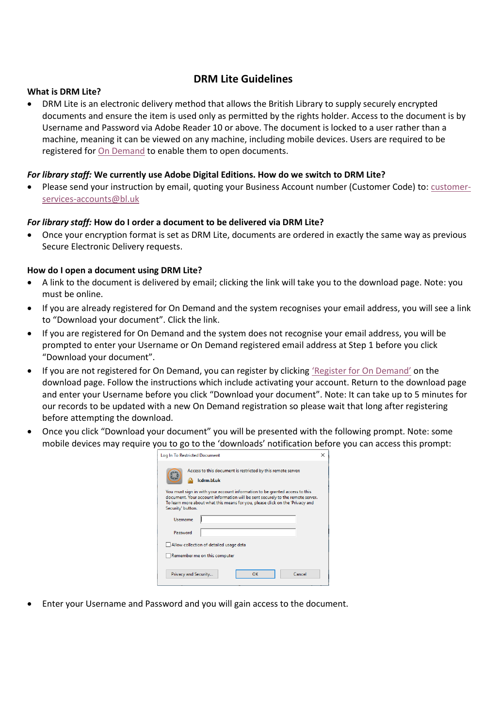# **DRM Lite Guidelines**

### **What is DRM Lite?**

 DRM Lite is an electronic delivery method that allows the British Library to supply securely encrypted documents and ensure the item is used only as permitted by the rights holder. Access to the document is by Username and Password via Adobe Reader 10 or above. The document is locked to a user rather than a machine, meaning it can be viewed on any machine, including mobile devices. Users are required to be registered for [On Demand](https://ondemand.bl.uk/onDemand/home) to enable them to open documents.

## *For library staff:* **We currently use Adobe Digital Editions. How do we switch to DRM Lite?**

Please send your instruction by email, quoting your Business Account number (Customer Code) to: [customer](mailto:customer-services-accounts@bl.uk?subject=Switch%20account%20to%20DRM%20Lite%20encryption)[services-accounts@bl.uk](mailto:customer-services-accounts@bl.uk?subject=Switch%20account%20to%20DRM%20Lite%20encryption)

### *For library staff:* **How do I order a document to be delivered via DRM Lite?**

 Once your encryption format is set as DRM Lite, documents are ordered in exactly the same way as previous Secure Electronic Delivery requests.

### **How do I open a document using DRM Lite?**

- A link to the document is delivered by email; clicking the link will take you to the download page. Note: you must be online.
- If you are already registered for On Demand and the system recognises your email address, you will see a link to "Download your document". Click the link.
- If you are registered for On Demand and the system does not recognise your email address, you will be prompted to enter your Username or On Demand registered email address at Step 1 before you click "Download your document".
- If you are not registered for On Demand, you can register by clicking ['Register for On Demand'](https://newregister.bl.uk/Identity/Account/Login?ReturnUrl=%2FRegistration%2FOnDemandRegistration%3FreferringUrl%3Dhttps%3A%2F%2Fondemand.bl.uk%2FonDemand%2Fhome) on the download page. Follow the instructions which include activating your account. Return to the download page and enter your Username before you click "Download your document". Note: It can take up to 5 minutes for our records to be updated with a new On Demand registration so please wait that long after registering before attempting the download.
- Once you click "Download your document" you will be presented with the following prompt. Note: some mobile devices may require you to go to the 'downloads' notification before you can access this prompt:

| Log In To Restricted Document                                                                                                                                                                                                                                                                                                 |  |
|-------------------------------------------------------------------------------------------------------------------------------------------------------------------------------------------------------------------------------------------------------------------------------------------------------------------------------|--|
| Access to this document is restricted by this remote server:<br>Icdrm.bl.uk<br>You must sign in with your account information to be granted access to this<br>document. Your account information will be sent securely to the remote server.<br>To learn more about what this means for you, please click on the 'Privacy and |  |
| Security' button.                                                                                                                                                                                                                                                                                                             |  |
| Username                                                                                                                                                                                                                                                                                                                      |  |
| Password                                                                                                                                                                                                                                                                                                                      |  |
| Allow collection of detailed usage data                                                                                                                                                                                                                                                                                       |  |
| Remember me on this computer                                                                                                                                                                                                                                                                                                  |  |
|                                                                                                                                                                                                                                                                                                                               |  |
| Cancel<br>ОΚ<br>Privacy and Security                                                                                                                                                                                                                                                                                          |  |

Enter your Username and Password and you will gain access to the document.